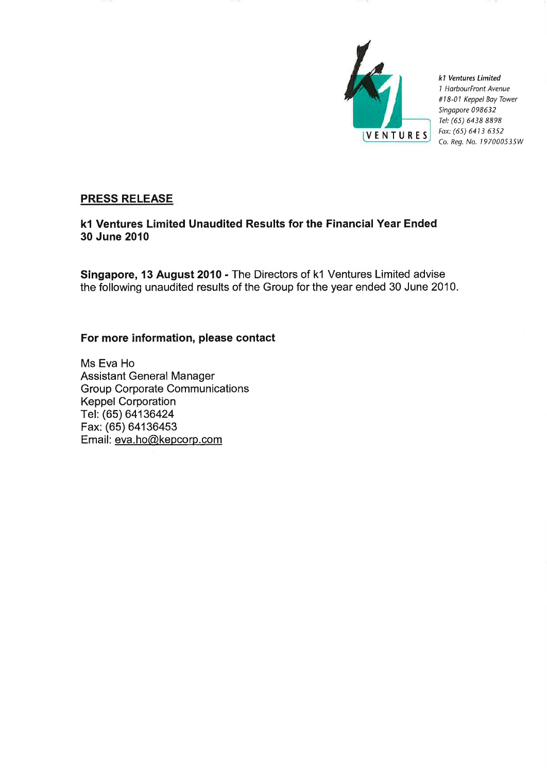

k1 Ventures Limited 1 HarbourFront Avenue #18-01 Keppel Bay Tower Singapore 098632 Tel: (65) 6438 8898 Fax: (65) 6413 6352 Co. Reg. No. 197000535W

# **PRESS RELEASE**

k1 Ventures Limited Unaudited Results for the Financial Year Ended 30 June 2010

Singapore, 13 August 2010 - The Directors of k1 Ventures Limited advise the following unaudited results of the Group for the year ended 30 June 2010.

# For more information, please contact

Ms Eva Ho **Assistant General Manager Group Corporate Communications Keppel Corporation** Tel. (65) 64136424 Fax: (65) 64136453 Email: eva.ho@kepcorp.com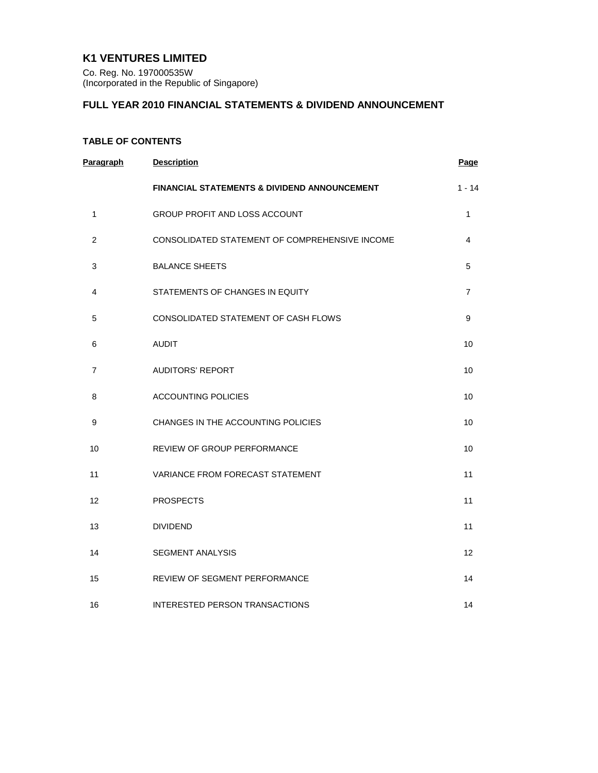# **K1 VENTURES LIMITED**

Co. Reg. No. 197000535W (Incorporated in the Republic of Singapore)

# **FULL YEAR 2010 FINANCIAL STATEMENTS & DIVIDEND ANNOUNCEMENT**

# **TABLE OF CONTENTS**

| Paragraph      | <b>Description</b>                                      | Page           |
|----------------|---------------------------------------------------------|----------------|
|                | <b>FINANCIAL STATEMENTS &amp; DIVIDEND ANNOUNCEMENT</b> | $1 - 14$       |
| 1              | GROUP PROFIT AND LOSS ACCOUNT                           | 1              |
| $\overline{c}$ | CONSOLIDATED STATEMENT OF COMPREHENSIVE INCOME          | 4              |
| 3              | <b>BALANCE SHEETS</b>                                   | 5              |
| 4              | STATEMENTS OF CHANGES IN EQUITY                         | $\overline{7}$ |
| 5              | CONSOLIDATED STATEMENT OF CASH FLOWS                    | 9              |
| 6              | <b>AUDIT</b>                                            | 10             |
| 7              | <b>AUDITORS' REPORT</b>                                 | 10             |
| 8              | <b>ACCOUNTING POLICIES</b>                              | 10             |
| 9              | CHANGES IN THE ACCOUNTING POLICIES                      | 10             |
| 10             | <b>REVIEW OF GROUP PERFORMANCE</b>                      | 10             |
| 11             | <b>VARIANCE FROM FORECAST STATEMENT</b>                 | 11             |
| 12             | <b>PROSPECTS</b>                                        | 11             |
| 13             | <b>DIVIDEND</b>                                         | 11             |
| 14             | <b>SEGMENT ANALYSIS</b>                                 | 12             |
| 15             | REVIEW OF SEGMENT PERFORMANCE                           | 14             |
| 16             | INTERESTED PERSON TRANSACTIONS                          | 14             |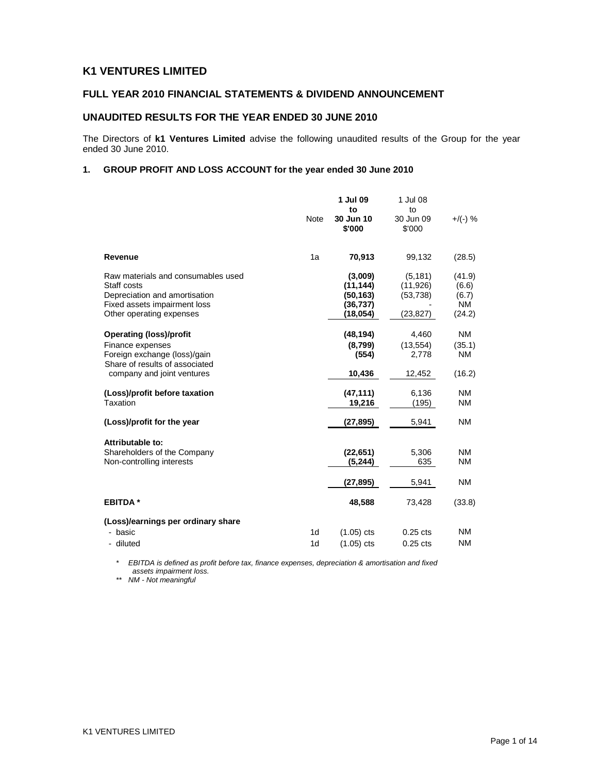# **K1 VENTURES LIMITED**

## **FULL YEAR 2010 FINANCIAL STATEMENTS & DIVIDEND ANNOUNCEMENT**

## **UNAUDITED RESULTS FOR THE YEAR ENDED 30 JUNE 2010**

The Directors of **k1 Ventures Limited** advise the following unaudited results of the Group for the year ended 30 June 2010.

### **1. GROUP PROFIT AND LOSS ACCOUNT for the year ended 30 June 2010**

|                                                                                                                                                    | Note                             | 1 Jul 09<br>to<br>30 Jun 10<br>\$'000                      | 1 Jul 08<br>to<br>30 Jun 09<br>\$'000          | $+$ /(-) %                                      |
|----------------------------------------------------------------------------------------------------------------------------------------------------|----------------------------------|------------------------------------------------------------|------------------------------------------------|-------------------------------------------------|
| Revenue                                                                                                                                            | 1a                               | 70,913                                                     | 99,132                                         | (28.5)                                          |
| Raw materials and consumables used<br>Staff costs<br>Depreciation and amortisation<br>Fixed assets impairment loss<br>Other operating expenses     |                                  | (3,009)<br>(11, 144)<br>(50, 163)<br>(36, 737)<br>(18,054) | (5, 181)<br>(11, 926)<br>(53, 738)<br>(23,827) | (41.9)<br>(6.6)<br>(6.7)<br><b>NM</b><br>(24.2) |
| <b>Operating (loss)/profit</b><br>Finance expenses<br>Foreign exchange (loss)/gain<br>Share of results of associated<br>company and joint ventures |                                  | (48, 194)<br>(8,799)<br>(554)<br>10,436                    | 4,460<br>(13, 554)<br>2,778<br>12,452          | <b>NM</b><br>(35.1)<br>NM<br>(16.2)             |
| (Loss)/profit before taxation<br>Taxation                                                                                                          |                                  | (47, 111)<br>19,216                                        | 6,136<br>(195)                                 | <b>NM</b><br><b>NM</b>                          |
| (Loss)/profit for the year                                                                                                                         |                                  | (27, 895)                                                  | 5,941                                          | <b>NM</b>                                       |
| Attributable to:<br>Shareholders of the Company<br>Non-controlling interests                                                                       |                                  | (22, 651)<br>(5, 244)<br>(27, 895)                         | 5,306<br>635<br>5,941                          | <b>NM</b><br><b>NM</b><br><b>NM</b>             |
| <b>EBITDA*</b>                                                                                                                                     |                                  | 48,588                                                     | 73,428                                         | (33.8)                                          |
| (Loss)/earnings per ordinary share<br>- basic<br>- diluted                                                                                         | 1 <sub>d</sub><br>1 <sub>d</sub> | $(1.05)$ cts<br>$(1.05)$ cts                               | $0.25$ cts<br>$0.25$ cts                       | <b>NM</b><br><b>NM</b>                          |

\* EBITDA is defined as profit before tax, finance expenses, depreciation & amortisation and fixed assets impairment loss.

\*\* NM - Not meaningful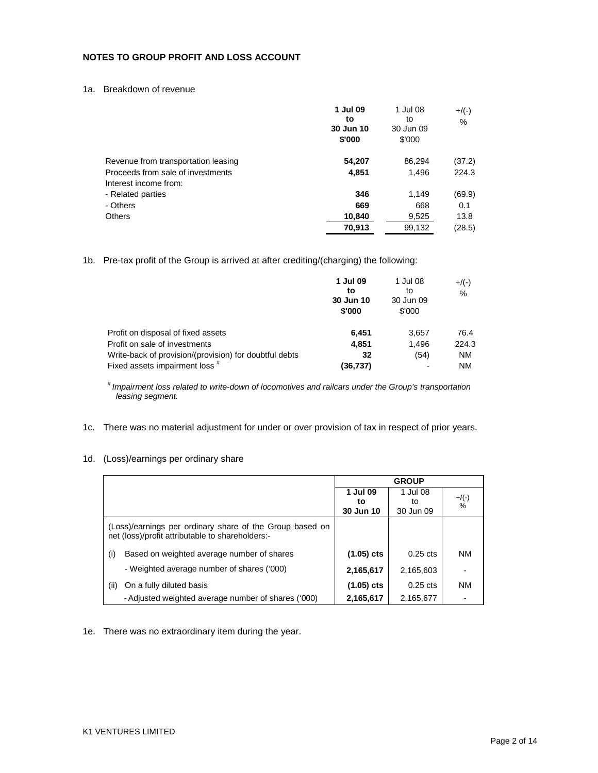### **NOTES TO GROUP PROFIT AND LOSS ACCOUNT**

1a. Breakdown of revenue

|                                     | 1 Jul 09<br>to<br>30 Jun 10<br>\$'000 | 1 Jul 08<br>to<br>30 Jun 09<br>\$'000 | $+/(-)$<br>$\%$ |
|-------------------------------------|---------------------------------------|---------------------------------------|-----------------|
| Revenue from transportation leasing | 54,207                                | 86,294                                | (37.2)          |
| Proceeds from sale of investments   | 4,851                                 | 1,496                                 | 224.3           |
| Interest income from:               |                                       |                                       |                 |
| - Related parties                   | 346                                   | 1,149                                 | (69.9)          |
| - Others                            | 669                                   | 668                                   | 0.1             |
| <b>Others</b>                       | 10,840                                | 9,525                                 | 13.8            |
|                                     | 70,913                                | 99,132                                | (28.5)          |

1b. Pre-tax profit of the Group is arrived at after crediting/(charging) the following:

|                                                        | 1 Jul 09<br>to<br>30 Jun 10<br>\$'000 | 1 Jul 08<br>to<br>30 Jun 09<br>\$'000 | $+/(-)$<br>% |
|--------------------------------------------------------|---------------------------------------|---------------------------------------|--------------|
| Profit on disposal of fixed assets                     | 6.451                                 | 3,657                                 | 76.4         |
| Profit on sale of investments                          | 4,851                                 | 1.496                                 | 224.3        |
| Write-back of provision/(provision) for doubtful debts | 32                                    | (54)                                  | <b>NM</b>    |
| Fixed assets impairment loss #                         | (36,737)                              |                                       | NM           |

# Impairment loss related to write-down of locomotives and railcars under the Group's transportation leasing segment.

1c. There was no material adjustment for under or over provision of tax in respect of prior years.

## 1d. (Loss)/earnings per ordinary share

|                                                                                                              |              | <b>GROUP</b> |              |
|--------------------------------------------------------------------------------------------------------------|--------------|--------------|--------------|
|                                                                                                              | 1 Jul 09     | 1 Jul 08     |              |
|                                                                                                              | to           | to           | $+/(-)$<br>% |
|                                                                                                              | 30 Jun 10    | 30 Jun 09    |              |
| (Loss)/earnings per ordinary share of the Group based on<br>net (loss)/profit attributable to shareholders:- |              |              |              |
| Based on weighted average number of shares<br>(i)                                                            | $(1.05)$ cts | $0.25$ cts   | <b>NM</b>    |
| - Weighted average number of shares ('000)                                                                   | 2,165,617    | 2,165,603    |              |
| (ii)<br>On a fully diluted basis                                                                             | $(1.05)$ cts | $0.25$ cts   | <b>NM</b>    |
| - Adjusted weighted average number of shares ('000)                                                          | 2,165,617    | 2,165,677    |              |

1e. There was no extraordinary item during the year.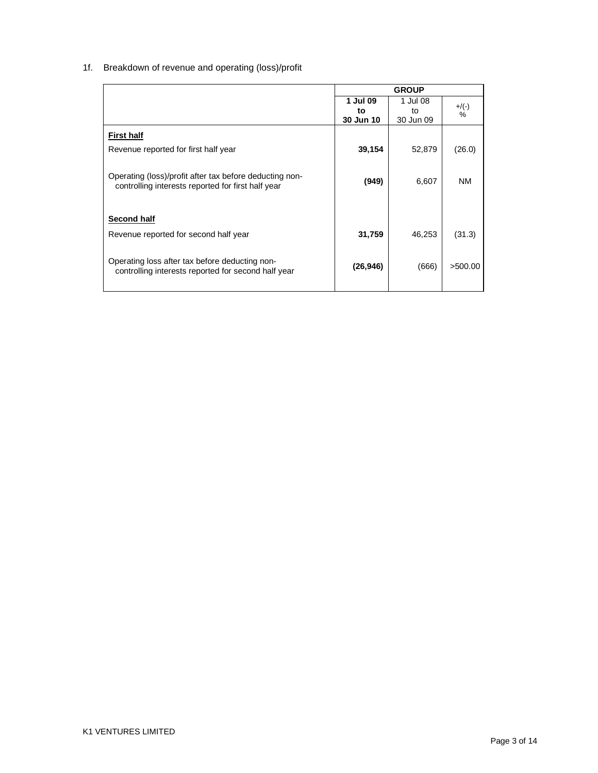# 1f. Breakdown of revenue and operating (loss)/profit

|                                                         | <b>GROUP</b> |           |           |
|---------------------------------------------------------|--------------|-----------|-----------|
|                                                         | 1 Jul 09     | 1 Jul 08  | $+$ /(-)  |
|                                                         | to           | to        | $\%$      |
|                                                         | 30 Jun 10    | 30 Jun 09 |           |
| <b>First half</b>                                       |              |           |           |
| Revenue reported for first half year                    | 39,154       | 52,879    | (26.0)    |
|                                                         |              |           |           |
| Operating (loss)/profit after tax before deducting non- | (949)        | 6,607     | <b>NM</b> |
| controlling interests reported for first half year      |              |           |           |
| <b>Second half</b>                                      |              |           |           |
|                                                         |              |           |           |
| Revenue reported for second half year                   | 31,759       | 46,253    | (31.3)    |
|                                                         |              |           |           |
| Operating loss after tax before deducting non-          | (26, 946)    | (666)     | >500.00   |
| controlling interests reported for second half year     |              |           |           |
|                                                         |              |           |           |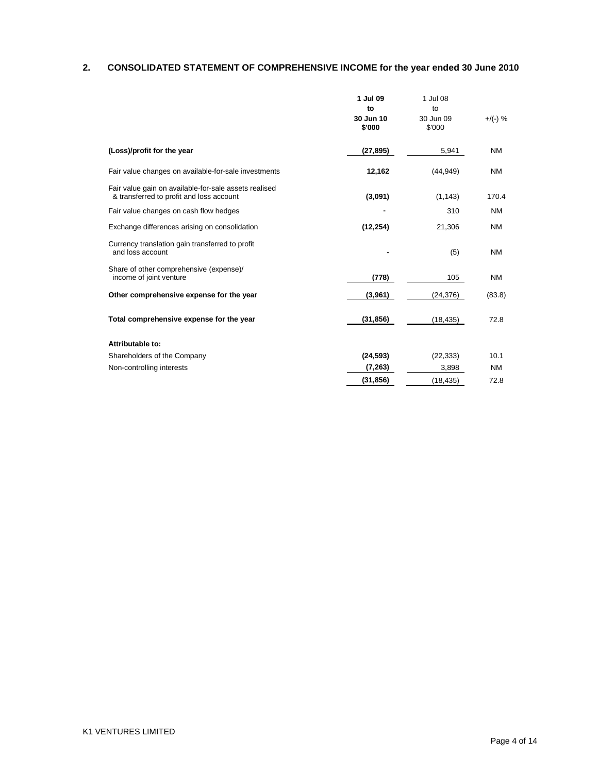# **2. CONSOLIDATED STATEMENT OF COMPREHENSIVE INCOME for the year ended 30 June 2010**

|                                                                                                   | 1 Jul 09<br>to<br>30 Jun 10<br>\$'000 | 1 Jul 08<br>to<br>30 Jun 09<br>\$'000 | $+$ /(-) % |
|---------------------------------------------------------------------------------------------------|---------------------------------------|---------------------------------------|------------|
| (Loss)/profit for the year                                                                        | (27, 895)                             | 5,941                                 | <b>NM</b>  |
| Fair value changes on available-for-sale investments                                              | 12,162                                | (44, 949)                             | <b>NM</b>  |
| Fair value gain on available-for-sale assets realised<br>& transferred to profit and loss account | (3,091)                               | (1, 143)                              | 170.4      |
| Fair value changes on cash flow hedges                                                            |                                       | 310                                   | <b>NM</b>  |
| Exchange differences arising on consolidation                                                     | (12, 254)                             | 21,306                                | <b>NM</b>  |
| Currency translation gain transferred to profit<br>and loss account                               |                                       | (5)                                   | <b>NM</b>  |
| Share of other comprehensive (expense)/<br>income of joint venture                                | (778)                                 | 105                                   | ΝM         |
| Other comprehensive expense for the year                                                          | (3,961)                               | (24, 376)                             | (83.8)     |
| Total comprehensive expense for the year                                                          | (31, 856)                             | (18, 435)                             | 72.8       |
| Attributable to:                                                                                  |                                       |                                       |            |
| Shareholders of the Company                                                                       | (24, 593)                             | (22, 333)                             | 10.1       |
| Non-controlling interests                                                                         | (7, 263)                              | 3,898                                 | <b>NM</b>  |
|                                                                                                   | (31, 856)                             | (18, 435)                             | 72.8       |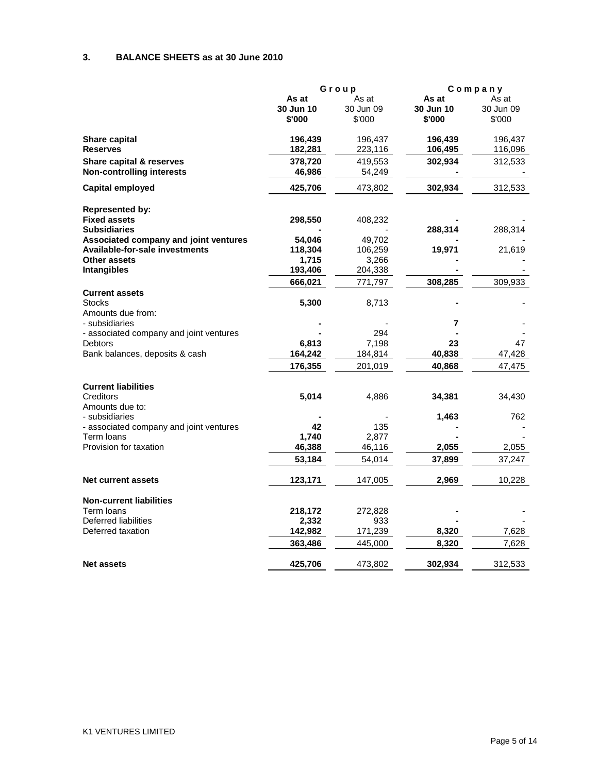## **3. BALANCE SHEETS as at 30 June 2010**

| Group<br>Company<br>As at<br>As at<br>As at<br>As at<br>30 Jun 10<br>30 Jun 10<br>30 Jun 09<br>30 Jun 09<br>\$'000<br>\$'000<br>\$'000<br>\$'000<br>Share capital<br>196,439<br>196,437<br>196,439<br>196,437<br><b>Reserves</b><br>182,281<br>223,116<br>106,495<br>116,096<br>378,720<br>302,934<br>312,533<br><b>Share capital &amp; reserves</b><br>419,553<br><b>Non-controlling interests</b><br>46,986<br>54,249<br><b>Capital employed</b><br>425,706<br>302,934<br>312,533<br>473,802<br><b>Represented by:</b><br><b>Fixed assets</b><br>298,550<br>408,232<br>288,314<br><b>Subsidiaries</b><br>288,314<br>Associated company and joint ventures<br>54,046<br>49,702<br><b>Available-for-sale investments</b><br>19,971<br>118,304<br>106,259<br>21,619<br><b>Other assets</b><br>1,715<br>3,266<br><b>Intangibles</b><br>193,406<br>204,338<br>308,285<br>309,933<br>666,021<br>771,797 |
|-----------------------------------------------------------------------------------------------------------------------------------------------------------------------------------------------------------------------------------------------------------------------------------------------------------------------------------------------------------------------------------------------------------------------------------------------------------------------------------------------------------------------------------------------------------------------------------------------------------------------------------------------------------------------------------------------------------------------------------------------------------------------------------------------------------------------------------------------------------------------------------------------------|
|                                                                                                                                                                                                                                                                                                                                                                                                                                                                                                                                                                                                                                                                                                                                                                                                                                                                                                     |
|                                                                                                                                                                                                                                                                                                                                                                                                                                                                                                                                                                                                                                                                                                                                                                                                                                                                                                     |
|                                                                                                                                                                                                                                                                                                                                                                                                                                                                                                                                                                                                                                                                                                                                                                                                                                                                                                     |
|                                                                                                                                                                                                                                                                                                                                                                                                                                                                                                                                                                                                                                                                                                                                                                                                                                                                                                     |
|                                                                                                                                                                                                                                                                                                                                                                                                                                                                                                                                                                                                                                                                                                                                                                                                                                                                                                     |
|                                                                                                                                                                                                                                                                                                                                                                                                                                                                                                                                                                                                                                                                                                                                                                                                                                                                                                     |
|                                                                                                                                                                                                                                                                                                                                                                                                                                                                                                                                                                                                                                                                                                                                                                                                                                                                                                     |
|                                                                                                                                                                                                                                                                                                                                                                                                                                                                                                                                                                                                                                                                                                                                                                                                                                                                                                     |
|                                                                                                                                                                                                                                                                                                                                                                                                                                                                                                                                                                                                                                                                                                                                                                                                                                                                                                     |
|                                                                                                                                                                                                                                                                                                                                                                                                                                                                                                                                                                                                                                                                                                                                                                                                                                                                                                     |
|                                                                                                                                                                                                                                                                                                                                                                                                                                                                                                                                                                                                                                                                                                                                                                                                                                                                                                     |
|                                                                                                                                                                                                                                                                                                                                                                                                                                                                                                                                                                                                                                                                                                                                                                                                                                                                                                     |
|                                                                                                                                                                                                                                                                                                                                                                                                                                                                                                                                                                                                                                                                                                                                                                                                                                                                                                     |
|                                                                                                                                                                                                                                                                                                                                                                                                                                                                                                                                                                                                                                                                                                                                                                                                                                                                                                     |
|                                                                                                                                                                                                                                                                                                                                                                                                                                                                                                                                                                                                                                                                                                                                                                                                                                                                                                     |
|                                                                                                                                                                                                                                                                                                                                                                                                                                                                                                                                                                                                                                                                                                                                                                                                                                                                                                     |
| <b>Current assets</b><br><b>Stocks</b>                                                                                                                                                                                                                                                                                                                                                                                                                                                                                                                                                                                                                                                                                                                                                                                                                                                              |
| 5,300<br>8,713                                                                                                                                                                                                                                                                                                                                                                                                                                                                                                                                                                                                                                                                                                                                                                                                                                                                                      |
| Amounts due from:<br>- subsidiaries                                                                                                                                                                                                                                                                                                                                                                                                                                                                                                                                                                                                                                                                                                                                                                                                                                                                 |
| 7<br>- associated company and joint ventures<br>294                                                                                                                                                                                                                                                                                                                                                                                                                                                                                                                                                                                                                                                                                                                                                                                                                                                 |
| 6,813<br>7,198<br>47<br><b>Debtors</b><br>23                                                                                                                                                                                                                                                                                                                                                                                                                                                                                                                                                                                                                                                                                                                                                                                                                                                        |
| 164,242<br>40,838<br>Bank balances, deposits & cash<br>184,814<br>47,428                                                                                                                                                                                                                                                                                                                                                                                                                                                                                                                                                                                                                                                                                                                                                                                                                            |
| 176,355<br>47,475                                                                                                                                                                                                                                                                                                                                                                                                                                                                                                                                                                                                                                                                                                                                                                                                                                                                                   |
| 201,019<br>40,868                                                                                                                                                                                                                                                                                                                                                                                                                                                                                                                                                                                                                                                                                                                                                                                                                                                                                   |
| <b>Current liabilities</b>                                                                                                                                                                                                                                                                                                                                                                                                                                                                                                                                                                                                                                                                                                                                                                                                                                                                          |
| 5,014<br>Creditors<br>4,886<br>34,381<br>34,430                                                                                                                                                                                                                                                                                                                                                                                                                                                                                                                                                                                                                                                                                                                                                                                                                                                     |
| Amounts due to:<br>- subsidiaries<br>1,463<br>762                                                                                                                                                                                                                                                                                                                                                                                                                                                                                                                                                                                                                                                                                                                                                                                                                                                   |
| 42<br>- associated company and joint ventures<br>135                                                                                                                                                                                                                                                                                                                                                                                                                                                                                                                                                                                                                                                                                                                                                                                                                                                |
| Term loans<br>1,740<br>2,877                                                                                                                                                                                                                                                                                                                                                                                                                                                                                                                                                                                                                                                                                                                                                                                                                                                                        |
| Provision for taxation<br>46,388<br>2,055<br>2,055<br>46,116                                                                                                                                                                                                                                                                                                                                                                                                                                                                                                                                                                                                                                                                                                                                                                                                                                        |
| 53,184<br>54,014<br>37,899<br>37,247                                                                                                                                                                                                                                                                                                                                                                                                                                                                                                                                                                                                                                                                                                                                                                                                                                                                |
| 123,171<br>2,969<br>10,228<br>Net current assets<br>147,005                                                                                                                                                                                                                                                                                                                                                                                                                                                                                                                                                                                                                                                                                                                                                                                                                                         |
|                                                                                                                                                                                                                                                                                                                                                                                                                                                                                                                                                                                                                                                                                                                                                                                                                                                                                                     |
| <b>Non-current liabilities</b>                                                                                                                                                                                                                                                                                                                                                                                                                                                                                                                                                                                                                                                                                                                                                                                                                                                                      |
| Term loans<br>218,172<br>272,828                                                                                                                                                                                                                                                                                                                                                                                                                                                                                                                                                                                                                                                                                                                                                                                                                                                                    |
| Deferred liabilities<br>2,332<br>933                                                                                                                                                                                                                                                                                                                                                                                                                                                                                                                                                                                                                                                                                                                                                                                                                                                                |
| Deferred taxation<br>8,320<br>7,628<br>142,982<br>171,239                                                                                                                                                                                                                                                                                                                                                                                                                                                                                                                                                                                                                                                                                                                                                                                                                                           |
| 8,320<br>363,486<br>445,000<br>7,628                                                                                                                                                                                                                                                                                                                                                                                                                                                                                                                                                                                                                                                                                                                                                                                                                                                                |
| 302,934<br>312,533<br><b>Net assets</b><br>425,706<br>473,802                                                                                                                                                                                                                                                                                                                                                                                                                                                                                                                                                                                                                                                                                                                                                                                                                                       |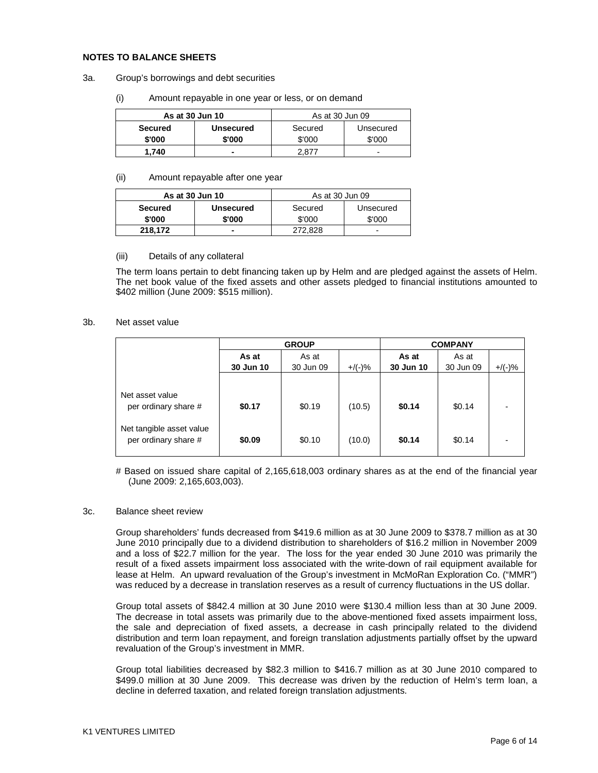#### **NOTES TO BALANCE SHEETS**

#### 3a. Group's borrowings and debt securities

(i) Amount repayable in one year or less, or on demand

| As at 30 Jun 10 |                  | As at 30 Jun 09      |                          |  |
|-----------------|------------------|----------------------|--------------------------|--|
| <b>Secured</b>  | <b>Unsecured</b> | Secured<br>Unsecured |                          |  |
| \$'000          | \$'000           | \$'000               | \$'000                   |  |
| 1.740           | -                | 2.877                | $\overline{\phantom{0}}$ |  |

#### (ii) Amount repayable after one year

| As at 30 Jun 10 |                  | As at 30 Jun 09      |                          |  |
|-----------------|------------------|----------------------|--------------------------|--|
| <b>Secured</b>  | <b>Unsecured</b> | Secured<br>Unsecured |                          |  |
| \$'000          | \$'000           | \$'000               | \$'000                   |  |
| 218,172         | -                | 272.828              | $\overline{\phantom{0}}$ |  |

#### (iii) Details of any collateral

The term loans pertain to debt financing taken up by Helm and are pledged against the assets of Helm. The net book value of the fixed assets and other assets pledged to financial institutions amounted to \$402 million (June 2009: \$515 million).

#### 3b. Net asset value

|                                                                                             |                  | <b>GROUP</b>     | <b>COMPANY</b>   |                  |                  |           |
|---------------------------------------------------------------------------------------------|------------------|------------------|------------------|------------------|------------------|-----------|
|                                                                                             | As at            | As at            |                  | As at            | As at            |           |
|                                                                                             | 30 Jun 10        | 30 Jun 09        | $+$ /(-)%        | 30 Jun 10        | 30 Jun 09        | $+$ /(-)% |
| Net asset value<br>per ordinary share #<br>Net tangible asset value<br>per ordinary share # | \$0.17<br>\$0.09 | \$0.19<br>\$0.10 | (10.5)<br>(10.0) | \$0.14<br>\$0.14 | \$0.14<br>\$0.14 | ۰         |

# Based on issued share capital of 2,165,618,003 ordinary shares as at the end of the financial year (June 2009: 2,165,603,003).

#### 3c. Balance sheet review

Group shareholders' funds decreased from \$419.6 million as at 30 June 2009 to \$378.7 million as at 30 June 2010 principally due to a dividend distribution to shareholders of \$16.2 million in November 2009 and a loss of \$22.7 million for the year. The loss for the year ended 30 June 2010 was primarily the result of a fixed assets impairment loss associated with the write-down of rail equipment available for lease at Helm. An upward revaluation of the Group's investment in McMoRan Exploration Co. ("MMR") was reduced by a decrease in translation reserves as a result of currency fluctuations in the US dollar.

Group total assets of \$842.4 million at 30 June 2010 were \$130.4 million less than at 30 June 2009. The decrease in total assets was primarily due to the above-mentioned fixed assets impairment loss, the sale and depreciation of fixed assets, a decrease in cash principally related to the dividend distribution and term loan repayment, and foreign translation adjustments partially offset by the upward revaluation of the Group's investment in MMR.

Group total liabilities decreased by \$82.3 million to \$416.7 million as at 30 June 2010 compared to \$499.0 million at 30 June 2009. This decrease was driven by the reduction of Helm's term loan, a decline in deferred taxation, and related foreign translation adjustments.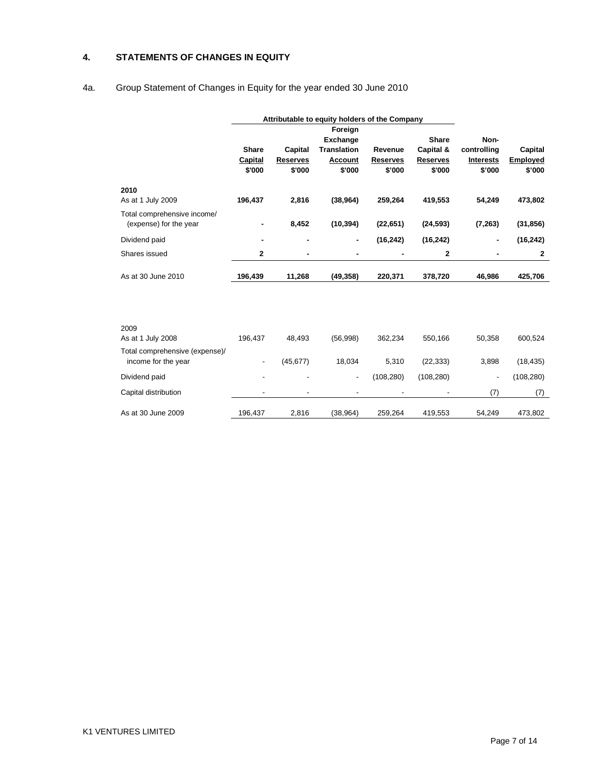## **4. STATEMENTS OF CHANGES IN EQUITY**

# 4a. Group Statement of Changes in Equity for the year ended 30 June 2010

|                                | Attributable to equity holders of the Company |                 |                          |                 |                 |                  |                 |
|--------------------------------|-----------------------------------------------|-----------------|--------------------------|-----------------|-----------------|------------------|-----------------|
|                                |                                               |                 | Foreign                  |                 |                 |                  |                 |
|                                |                                               |                 | <b>Exchange</b>          |                 | Share           | Non-             |                 |
|                                | <b>Share</b>                                  | Capital         | <b>Translation</b>       | Revenue         | Capital &       | controlling      | Capital         |
|                                | Capital                                       | <b>Reserves</b> | <b>Account</b>           | <b>Reserves</b> | <b>Reserves</b> | <b>Interests</b> | <b>Employed</b> |
|                                | \$'000                                        | \$'000          | \$'000                   | \$'000          | \$'000          | \$'000           | \$'000          |
| 2010                           |                                               |                 |                          |                 |                 |                  |                 |
| As at 1 July 2009              | 196,437                                       | 2,816           | (38, 964)                | 259,264         | 419,553         | 54,249           | 473,802         |
| Total comprehensive income/    |                                               |                 |                          |                 |                 |                  |                 |
| (expense) for the year         |                                               | 8,452           | (10, 394)                | (22, 651)       | (24, 593)       | (7, 263)         | (31, 856)       |
| Dividend paid                  | $\blacksquare$                                |                 | $\blacksquare$           | (16, 242)       | (16, 242)       |                  | (16, 242)       |
| Shares issued                  | $\mathbf{2}$                                  |                 |                          |                 | 2               |                  | $\mathbf{2}$    |
| As at 30 June 2010             | 196,439                                       | 11,268          | (49, 358)                | 220,371         | 378,720         | 46,986           | 425,706         |
|                                |                                               |                 |                          |                 |                 |                  |                 |
|                                |                                               |                 |                          |                 |                 |                  |                 |
|                                |                                               |                 |                          |                 |                 |                  |                 |
| 2009                           |                                               |                 |                          |                 |                 |                  |                 |
| As at 1 July 2008              | 196,437                                       | 48,493          | (56,998)                 | 362,234         | 550,166         | 50,358           | 600,524         |
| Total comprehensive (expense)/ |                                               |                 |                          |                 |                 |                  |                 |
| income for the year            |                                               | (45, 677)       | 18,034                   | 5,310           | (22, 333)       | 3,898            | (18, 435)       |
| Dividend paid                  |                                               |                 | $\overline{\phantom{a}}$ | (108, 280)      | (108, 280)      |                  | (108, 280)      |
| Capital distribution           |                                               |                 |                          |                 |                 | (7)              | (7)             |
| As at 30 June 2009             | 196,437                                       | 2,816           | (38, 964)                | 259,264         | 419,553         | 54,249           | 473,802         |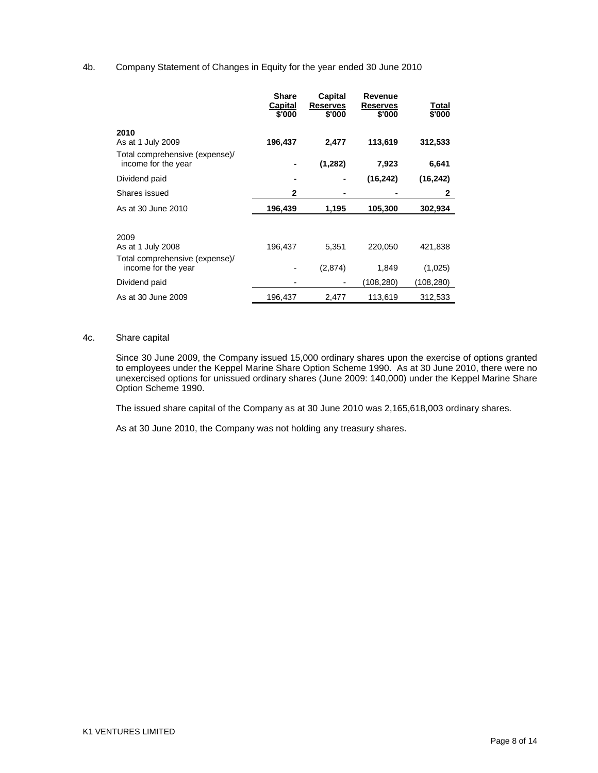## 4b. Company Statement of Changes in Equity for the year ended 30 June 2010

|                                                       | <b>Share</b><br>Capital<br>\$'000 | Capital<br><b>Reserves</b><br>\$'000 | Revenue<br><b>Reserves</b><br>\$'000 | <u>Total</u><br>\$'000 |
|-------------------------------------------------------|-----------------------------------|--------------------------------------|--------------------------------------|------------------------|
| 2010<br>As at 1 July 2009                             | 196,437                           | 2,477                                | 113,619                              | 312,533                |
| Total comprehensive (expense)/                        |                                   |                                      |                                      |                        |
| income for the year                                   |                                   | (1,282)                              | 7,923                                | 6,641                  |
| Dividend paid                                         |                                   |                                      | (16, 242)                            | (16, 242)              |
| Shares issued                                         | $\mathbf{2}$                      |                                      |                                      | $\mathbf{2}$           |
| As at 30 June 2010                                    | 196,439                           | 1,195                                | 105,300                              | 302,934                |
|                                                       |                                   |                                      |                                      |                        |
| 2009                                                  |                                   |                                      |                                      |                        |
| As at 1 July 2008                                     | 196,437                           | 5,351                                | 220,050                              | 421,838                |
| Total comprehensive (expense)/<br>income for the year |                                   | (2,874)                              | 1,849                                | (1,025)                |
| Dividend paid                                         |                                   |                                      | (108, 280)                           | (108,280)              |
| As at 30 June 2009                                    | 196,437                           | 2,477                                | 113,619                              | 312,533                |

## 4c. Share capital

Since 30 June 2009, the Company issued 15,000 ordinary shares upon the exercise of options granted to employees under the Keppel Marine Share Option Scheme 1990. As at 30 June 2010, there were no unexercised options for unissued ordinary shares (June 2009: 140,000) under the Keppel Marine Share Option Scheme 1990.

The issued share capital of the Company as at 30 June 2010 was 2,165,618,003 ordinary shares.

As at 30 June 2010, the Company was not holding any treasury shares.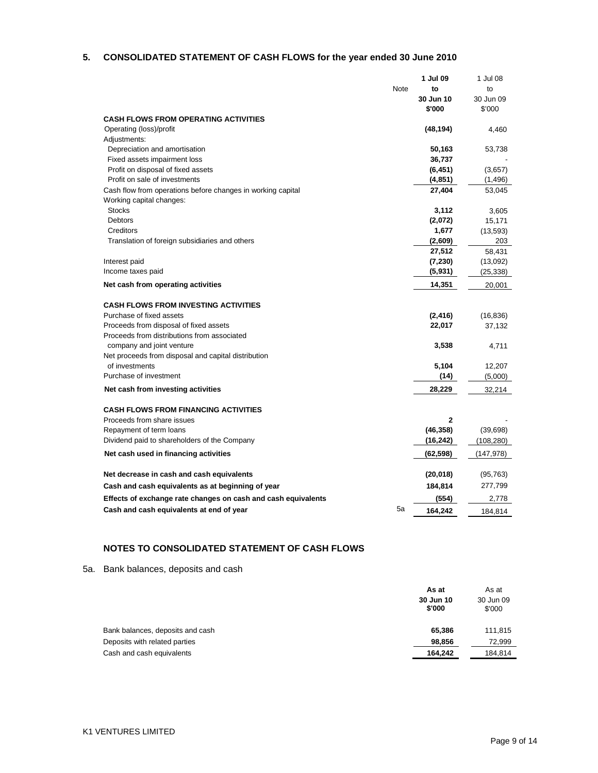## **5. CONSOLIDATED STATEMENT OF CASH FLOWS for the year ended 30 June 2010**

| Note<br>to<br>to<br>30 Jun 10<br>30 Jun 09<br>\$'000<br>\$'000<br><b>CASH FLOWS FROM OPERATING ACTIVITIES</b><br>Operating (loss)/profit<br>(48, 194)<br>4,460<br>Adjustments:<br>Depreciation and amortisation<br>50,163<br>53,738<br>Fixed assets impairment loss<br>36,737<br>Profit on disposal of fixed assets<br>(6, 451)<br>(3,657)<br>Profit on sale of investments<br>(4, 851)<br>(1, 496)<br>27,404<br>Cash flow from operations before changes in working capital<br>53,045<br>Working capital changes:<br><b>Stocks</b><br>3,112<br>3,605<br><b>Debtors</b><br>(2,072)<br>15,171<br>Creditors<br>1,677<br>(13, 593)<br>(2,609)<br>Translation of foreign subsidiaries and others<br>203<br>27,512<br>58,431<br>Interest paid<br>(7, 230)<br>(13,092)<br>(5,931)<br>Income taxes paid<br>(25, 338)<br>Net cash from operating activities<br>14,351<br>20,001<br><b>CASH FLOWS FROM INVESTING ACTIVITIES</b><br>Purchase of fixed assets<br>(2, 416)<br>(16, 836)<br>Proceeds from disposal of fixed assets<br>22,017<br>37,132<br>Proceeds from distributions from associated<br>company and joint venture<br>3,538<br>4,711<br>Net proceeds from disposal and capital distribution<br>of investments<br>5,104<br>12,207<br>Purchase of investment<br>(14)<br>(5,000)<br>Net cash from investing activities<br>28,229<br>32,214<br><b>CASH FLOWS FROM FINANCING ACTIVITIES</b><br>Proceeds from share issues<br>$\mathbf{2}$<br>(46, 358)<br>(39, 698)<br>Repayment of term loans<br>Dividend paid to shareholders of the Company<br>(16, 242)<br>(108,280)<br>Net cash used in financing activities<br>(62, 598)<br>(147,978)<br>Net decrease in cash and cash equivalents<br>(20, 018)<br>(95, 763)<br>277,799<br>Cash and cash equivalents as at beginning of year<br>184,814<br>Effects of exchange rate changes on cash and cash equivalents<br>(554)<br>2,778<br>5a<br>Cash and cash equivalents at end of year<br>184,814<br>164,242 |  | 1 Jul 09 | 1 Jul 08 |
|--------------------------------------------------------------------------------------------------------------------------------------------------------------------------------------------------------------------------------------------------------------------------------------------------------------------------------------------------------------------------------------------------------------------------------------------------------------------------------------------------------------------------------------------------------------------------------------------------------------------------------------------------------------------------------------------------------------------------------------------------------------------------------------------------------------------------------------------------------------------------------------------------------------------------------------------------------------------------------------------------------------------------------------------------------------------------------------------------------------------------------------------------------------------------------------------------------------------------------------------------------------------------------------------------------------------------------------------------------------------------------------------------------------------------------------------------------------------------------------------------------------------------------------------------------------------------------------------------------------------------------------------------------------------------------------------------------------------------------------------------------------------------------------------------------------------------------------------------------------------------------------------------------------------------------------------------------|--|----------|----------|
|                                                                                                                                                                                                                                                                                                                                                                                                                                                                                                                                                                                                                                                                                                                                                                                                                                                                                                                                                                                                                                                                                                                                                                                                                                                                                                                                                                                                                                                                                                                                                                                                                                                                                                                                                                                                                                                                                                                                                        |  |          |          |
|                                                                                                                                                                                                                                                                                                                                                                                                                                                                                                                                                                                                                                                                                                                                                                                                                                                                                                                                                                                                                                                                                                                                                                                                                                                                                                                                                                                                                                                                                                                                                                                                                                                                                                                                                                                                                                                                                                                                                        |  |          |          |
|                                                                                                                                                                                                                                                                                                                                                                                                                                                                                                                                                                                                                                                                                                                                                                                                                                                                                                                                                                                                                                                                                                                                                                                                                                                                                                                                                                                                                                                                                                                                                                                                                                                                                                                                                                                                                                                                                                                                                        |  |          |          |
|                                                                                                                                                                                                                                                                                                                                                                                                                                                                                                                                                                                                                                                                                                                                                                                                                                                                                                                                                                                                                                                                                                                                                                                                                                                                                                                                                                                                                                                                                                                                                                                                                                                                                                                                                                                                                                                                                                                                                        |  |          |          |
|                                                                                                                                                                                                                                                                                                                                                                                                                                                                                                                                                                                                                                                                                                                                                                                                                                                                                                                                                                                                                                                                                                                                                                                                                                                                                                                                                                                                                                                                                                                                                                                                                                                                                                                                                                                                                                                                                                                                                        |  |          |          |
|                                                                                                                                                                                                                                                                                                                                                                                                                                                                                                                                                                                                                                                                                                                                                                                                                                                                                                                                                                                                                                                                                                                                                                                                                                                                                                                                                                                                                                                                                                                                                                                                                                                                                                                                                                                                                                                                                                                                                        |  |          |          |
|                                                                                                                                                                                                                                                                                                                                                                                                                                                                                                                                                                                                                                                                                                                                                                                                                                                                                                                                                                                                                                                                                                                                                                                                                                                                                                                                                                                                                                                                                                                                                                                                                                                                                                                                                                                                                                                                                                                                                        |  |          |          |
|                                                                                                                                                                                                                                                                                                                                                                                                                                                                                                                                                                                                                                                                                                                                                                                                                                                                                                                                                                                                                                                                                                                                                                                                                                                                                                                                                                                                                                                                                                                                                                                                                                                                                                                                                                                                                                                                                                                                                        |  |          |          |
|                                                                                                                                                                                                                                                                                                                                                                                                                                                                                                                                                                                                                                                                                                                                                                                                                                                                                                                                                                                                                                                                                                                                                                                                                                                                                                                                                                                                                                                                                                                                                                                                                                                                                                                                                                                                                                                                                                                                                        |  |          |          |
|                                                                                                                                                                                                                                                                                                                                                                                                                                                                                                                                                                                                                                                                                                                                                                                                                                                                                                                                                                                                                                                                                                                                                                                                                                                                                                                                                                                                                                                                                                                                                                                                                                                                                                                                                                                                                                                                                                                                                        |  |          |          |
|                                                                                                                                                                                                                                                                                                                                                                                                                                                                                                                                                                                                                                                                                                                                                                                                                                                                                                                                                                                                                                                                                                                                                                                                                                                                                                                                                                                                                                                                                                                                                                                                                                                                                                                                                                                                                                                                                                                                                        |  |          |          |
|                                                                                                                                                                                                                                                                                                                                                                                                                                                                                                                                                                                                                                                                                                                                                                                                                                                                                                                                                                                                                                                                                                                                                                                                                                                                                                                                                                                                                                                                                                                                                                                                                                                                                                                                                                                                                                                                                                                                                        |  |          |          |
|                                                                                                                                                                                                                                                                                                                                                                                                                                                                                                                                                                                                                                                                                                                                                                                                                                                                                                                                                                                                                                                                                                                                                                                                                                                                                                                                                                                                                                                                                                                                                                                                                                                                                                                                                                                                                                                                                                                                                        |  |          |          |
|                                                                                                                                                                                                                                                                                                                                                                                                                                                                                                                                                                                                                                                                                                                                                                                                                                                                                                                                                                                                                                                                                                                                                                                                                                                                                                                                                                                                                                                                                                                                                                                                                                                                                                                                                                                                                                                                                                                                                        |  |          |          |
|                                                                                                                                                                                                                                                                                                                                                                                                                                                                                                                                                                                                                                                                                                                                                                                                                                                                                                                                                                                                                                                                                                                                                                                                                                                                                                                                                                                                                                                                                                                                                                                                                                                                                                                                                                                                                                                                                                                                                        |  |          |          |
|                                                                                                                                                                                                                                                                                                                                                                                                                                                                                                                                                                                                                                                                                                                                                                                                                                                                                                                                                                                                                                                                                                                                                                                                                                                                                                                                                                                                                                                                                                                                                                                                                                                                                                                                                                                                                                                                                                                                                        |  |          |          |
|                                                                                                                                                                                                                                                                                                                                                                                                                                                                                                                                                                                                                                                                                                                                                                                                                                                                                                                                                                                                                                                                                                                                                                                                                                                                                                                                                                                                                                                                                                                                                                                                                                                                                                                                                                                                                                                                                                                                                        |  |          |          |
|                                                                                                                                                                                                                                                                                                                                                                                                                                                                                                                                                                                                                                                                                                                                                                                                                                                                                                                                                                                                                                                                                                                                                                                                                                                                                                                                                                                                                                                                                                                                                                                                                                                                                                                                                                                                                                                                                                                                                        |  |          |          |
|                                                                                                                                                                                                                                                                                                                                                                                                                                                                                                                                                                                                                                                                                                                                                                                                                                                                                                                                                                                                                                                                                                                                                                                                                                                                                                                                                                                                                                                                                                                                                                                                                                                                                                                                                                                                                                                                                                                                                        |  |          |          |
|                                                                                                                                                                                                                                                                                                                                                                                                                                                                                                                                                                                                                                                                                                                                                                                                                                                                                                                                                                                                                                                                                                                                                                                                                                                                                                                                                                                                                                                                                                                                                                                                                                                                                                                                                                                                                                                                                                                                                        |  |          |          |
|                                                                                                                                                                                                                                                                                                                                                                                                                                                                                                                                                                                                                                                                                                                                                                                                                                                                                                                                                                                                                                                                                                                                                                                                                                                                                                                                                                                                                                                                                                                                                                                                                                                                                                                                                                                                                                                                                                                                                        |  |          |          |
|                                                                                                                                                                                                                                                                                                                                                                                                                                                                                                                                                                                                                                                                                                                                                                                                                                                                                                                                                                                                                                                                                                                                                                                                                                                                                                                                                                                                                                                                                                                                                                                                                                                                                                                                                                                                                                                                                                                                                        |  |          |          |
|                                                                                                                                                                                                                                                                                                                                                                                                                                                                                                                                                                                                                                                                                                                                                                                                                                                                                                                                                                                                                                                                                                                                                                                                                                                                                                                                                                                                                                                                                                                                                                                                                                                                                                                                                                                                                                                                                                                                                        |  |          |          |
|                                                                                                                                                                                                                                                                                                                                                                                                                                                                                                                                                                                                                                                                                                                                                                                                                                                                                                                                                                                                                                                                                                                                                                                                                                                                                                                                                                                                                                                                                                                                                                                                                                                                                                                                                                                                                                                                                                                                                        |  |          |          |
|                                                                                                                                                                                                                                                                                                                                                                                                                                                                                                                                                                                                                                                                                                                                                                                                                                                                                                                                                                                                                                                                                                                                                                                                                                                                                                                                                                                                                                                                                                                                                                                                                                                                                                                                                                                                                                                                                                                                                        |  |          |          |
|                                                                                                                                                                                                                                                                                                                                                                                                                                                                                                                                                                                                                                                                                                                                                                                                                                                                                                                                                                                                                                                                                                                                                                                                                                                                                                                                                                                                                                                                                                                                                                                                                                                                                                                                                                                                                                                                                                                                                        |  |          |          |
|                                                                                                                                                                                                                                                                                                                                                                                                                                                                                                                                                                                                                                                                                                                                                                                                                                                                                                                                                                                                                                                                                                                                                                                                                                                                                                                                                                                                                                                                                                                                                                                                                                                                                                                                                                                                                                                                                                                                                        |  |          |          |
|                                                                                                                                                                                                                                                                                                                                                                                                                                                                                                                                                                                                                                                                                                                                                                                                                                                                                                                                                                                                                                                                                                                                                                                                                                                                                                                                                                                                                                                                                                                                                                                                                                                                                                                                                                                                                                                                                                                                                        |  |          |          |
|                                                                                                                                                                                                                                                                                                                                                                                                                                                                                                                                                                                                                                                                                                                                                                                                                                                                                                                                                                                                                                                                                                                                                                                                                                                                                                                                                                                                                                                                                                                                                                                                                                                                                                                                                                                                                                                                                                                                                        |  |          |          |
|                                                                                                                                                                                                                                                                                                                                                                                                                                                                                                                                                                                                                                                                                                                                                                                                                                                                                                                                                                                                                                                                                                                                                                                                                                                                                                                                                                                                                                                                                                                                                                                                                                                                                                                                                                                                                                                                                                                                                        |  |          |          |
|                                                                                                                                                                                                                                                                                                                                                                                                                                                                                                                                                                                                                                                                                                                                                                                                                                                                                                                                                                                                                                                                                                                                                                                                                                                                                                                                                                                                                                                                                                                                                                                                                                                                                                                                                                                                                                                                                                                                                        |  |          |          |
|                                                                                                                                                                                                                                                                                                                                                                                                                                                                                                                                                                                                                                                                                                                                                                                                                                                                                                                                                                                                                                                                                                                                                                                                                                                                                                                                                                                                                                                                                                                                                                                                                                                                                                                                                                                                                                                                                                                                                        |  |          |          |
|                                                                                                                                                                                                                                                                                                                                                                                                                                                                                                                                                                                                                                                                                                                                                                                                                                                                                                                                                                                                                                                                                                                                                                                                                                                                                                                                                                                                                                                                                                                                                                                                                                                                                                                                                                                                                                                                                                                                                        |  |          |          |
|                                                                                                                                                                                                                                                                                                                                                                                                                                                                                                                                                                                                                                                                                                                                                                                                                                                                                                                                                                                                                                                                                                                                                                                                                                                                                                                                                                                                                                                                                                                                                                                                                                                                                                                                                                                                                                                                                                                                                        |  |          |          |
|                                                                                                                                                                                                                                                                                                                                                                                                                                                                                                                                                                                                                                                                                                                                                                                                                                                                                                                                                                                                                                                                                                                                                                                                                                                                                                                                                                                                                                                                                                                                                                                                                                                                                                                                                                                                                                                                                                                                                        |  |          |          |
|                                                                                                                                                                                                                                                                                                                                                                                                                                                                                                                                                                                                                                                                                                                                                                                                                                                                                                                                                                                                                                                                                                                                                                                                                                                                                                                                                                                                                                                                                                                                                                                                                                                                                                                                                                                                                                                                                                                                                        |  |          |          |
|                                                                                                                                                                                                                                                                                                                                                                                                                                                                                                                                                                                                                                                                                                                                                                                                                                                                                                                                                                                                                                                                                                                                                                                                                                                                                                                                                                                                                                                                                                                                                                                                                                                                                                                                                                                                                                                                                                                                                        |  |          |          |
|                                                                                                                                                                                                                                                                                                                                                                                                                                                                                                                                                                                                                                                                                                                                                                                                                                                                                                                                                                                                                                                                                                                                                                                                                                                                                                                                                                                                                                                                                                                                                                                                                                                                                                                                                                                                                                                                                                                                                        |  |          |          |
|                                                                                                                                                                                                                                                                                                                                                                                                                                                                                                                                                                                                                                                                                                                                                                                                                                                                                                                                                                                                                                                                                                                                                                                                                                                                                                                                                                                                                                                                                                                                                                                                                                                                                                                                                                                                                                                                                                                                                        |  |          |          |
|                                                                                                                                                                                                                                                                                                                                                                                                                                                                                                                                                                                                                                                                                                                                                                                                                                                                                                                                                                                                                                                                                                                                                                                                                                                                                                                                                                                                                                                                                                                                                                                                                                                                                                                                                                                                                                                                                                                                                        |  |          |          |

# **NOTES TO CONSOLIDATED STATEMENT OF CASH FLOWS**

5a. Bank balances, deposits and cash

|                                  | As at<br>30 Jun 10<br>\$'000 | As at<br>30 Jun 09<br>\$'000 |
|----------------------------------|------------------------------|------------------------------|
| Bank balances, deposits and cash | 65.386                       | 111.815                      |
| Deposits with related parties    | 98,856                       | 72.999                       |
| Cash and cash equivalents        | 164.242                      | 184.814                      |
|                                  |                              |                              |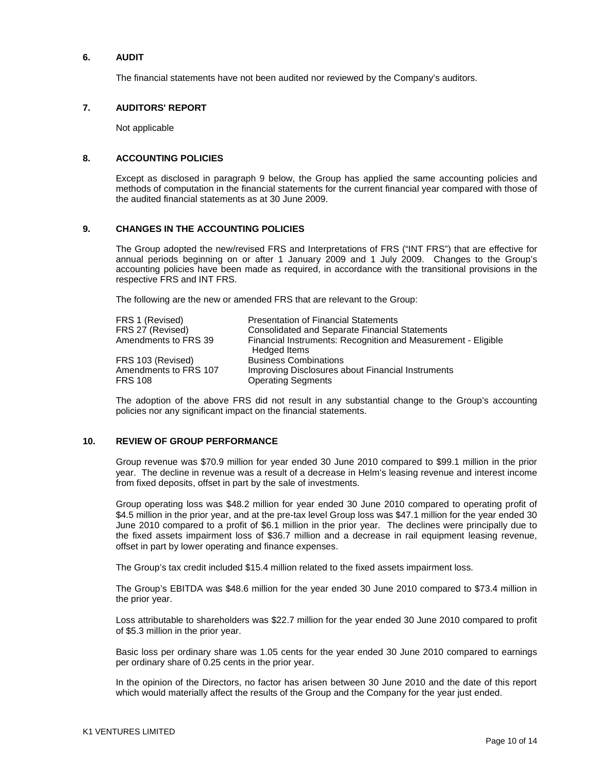### **6. AUDIT**

The financial statements have not been audited nor reviewed by the Company's auditors.

#### **7. AUDITORS' REPORT**

Not applicable

#### **8. ACCOUNTING POLICIES**

Except as disclosed in paragraph 9 below, the Group has applied the same accounting policies and methods of computation in the financial statements for the current financial year compared with those of the audited financial statements as at 30 June 2009.

### **9. CHANGES IN THE ACCOUNTING POLICIES**

The Group adopted the new/revised FRS and Interpretations of FRS ("INT FRS") that are effective for annual periods beginning on or after 1 January 2009 and 1 July 2009. Changes to the Group's accounting policies have been made as required, in accordance with the transitional provisions in the respective FRS and INT FRS.

The following are the new or amended FRS that are relevant to the Group:

| FRS 1 (Revised)       | <b>Presentation of Financial Statements</b>                                          |
|-----------------------|--------------------------------------------------------------------------------------|
| FRS 27 (Revised)      | <b>Consolidated and Separate Financial Statements</b>                                |
| Amendments to FRS 39  | Financial Instruments: Recognition and Measurement - Eligible<br><b>Hedged Items</b> |
| FRS 103 (Revised)     | <b>Business Combinations</b>                                                         |
| Amendments to FRS 107 | Improving Disclosures about Financial Instruments                                    |
| <b>FRS 108</b>        | <b>Operating Segments</b>                                                            |

The adoption of the above FRS did not result in any substantial change to the Group's accounting policies nor any significant impact on the financial statements.

### **10. REVIEW OF GROUP PERFORMANCE**

Group revenue was \$70.9 million for year ended 30 June 2010 compared to \$99.1 million in the prior year. The decline in revenue was a result of a decrease in Helm's leasing revenue and interest income from fixed deposits, offset in part by the sale of investments.

Group operating loss was \$48.2 million for year ended 30 June 2010 compared to operating profit of \$4.5 million in the prior year, and at the pre-tax level Group loss was \$47.1 million for the year ended 30 June 2010 compared to a profit of \$6.1 million in the prior year. The declines were principally due to the fixed assets impairment loss of \$36.7 million and a decrease in rail equipment leasing revenue, offset in part by lower operating and finance expenses.

The Group's tax credit included \$15.4 million related to the fixed assets impairment loss.

The Group's EBITDA was \$48.6 million for the year ended 30 June 2010 compared to \$73.4 million in the prior year.

Loss attributable to shareholders was \$22.7 million for the year ended 30 June 2010 compared to profit of \$5.3 million in the prior year.

Basic loss per ordinary share was 1.05 cents for the year ended 30 June 2010 compared to earnings per ordinary share of 0.25 cents in the prior year.

In the opinion of the Directors, no factor has arisen between 30 June 2010 and the date of this report which would materially affect the results of the Group and the Company for the year just ended.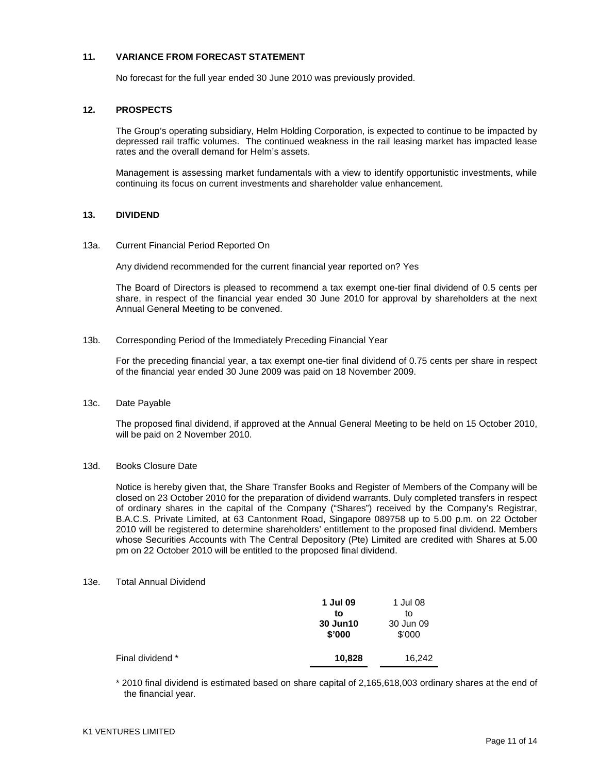## **11. VARIANCE FROM FORECAST STATEMENT**

No forecast for the full year ended 30 June 2010 was previously provided.

## **12. PROSPECTS**

The Group's operating subsidiary, Helm Holding Corporation, is expected to continue to be impacted by depressed rail traffic volumes. The continued weakness in the rail leasing market has impacted lease rates and the overall demand for Helm's assets.

Management is assessing market fundamentals with a view to identify opportunistic investments, while continuing its focus on current investments and shareholder value enhancement.

### **13. DIVIDEND**

13a. Current Financial Period Reported On

Any dividend recommended for the current financial year reported on? Yes

The Board of Directors is pleased to recommend a tax exempt one-tier final dividend of 0.5 cents per share, in respect of the financial year ended 30 June 2010 for approval by shareholders at the next Annual General Meeting to be convened.

#### 13b. Corresponding Period of the Immediately Preceding Financial Year

For the preceding financial year, a tax exempt one-tier final dividend of 0.75 cents per share in respect of the financial year ended 30 June 2009 was paid on 18 November 2009.

13c. Date Payable

The proposed final dividend, if approved at the Annual General Meeting to be held on 15 October 2010, will be paid on 2 November 2010.

### 13d. Books Closure Date

Notice is hereby given that, the Share Transfer Books and Register of Members of the Company will be closed on 23 October 2010 for the preparation of dividend warrants. Duly completed transfers in respect of ordinary shares in the capital of the Company ("Shares") received by the Company's Registrar, B.A.C.S. Private Limited, at 63 Cantonment Road, Singapore 089758 up to 5.00 p.m. on 22 October 2010 will be registered to determine shareholders' entitlement to the proposed final dividend. Members whose Securities Accounts with The Central Depository (Pte) Limited are credited with Shares at 5.00 pm on 22 October 2010 will be entitled to the proposed final dividend.

#### 13e. Total Annual Dividend

|                  | 1 Jul 09<br>to<br>30 Jun10<br>\$'000 | 1 Jul 08<br>to<br>30 Jun 09<br>\$'000 |
|------------------|--------------------------------------|---------------------------------------|
| Final dividend * | 10,828                               | 16,242                                |

\* 2010 final dividend is estimated based on share capital of 2,165,618,003 ordinary shares at the end of the financial year.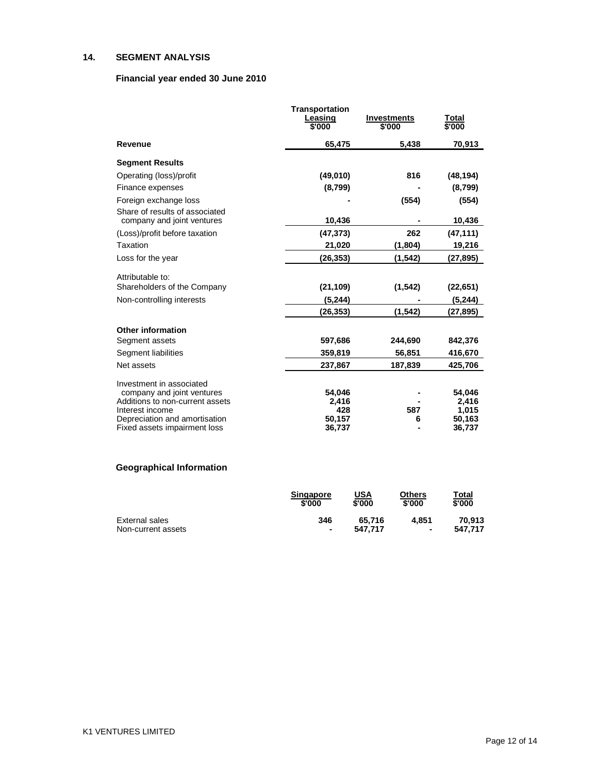## **14. SEGMENT ANALYSIS**

## **Financial year ended 30 June 2010**

|                                                              | <b>Transportation</b><br>Leasing<br>\$'000 | <b>Investments</b><br>\$'000 | Total<br>\$'000 |
|--------------------------------------------------------------|--------------------------------------------|------------------------------|-----------------|
| Revenue                                                      | 65,475                                     | 5.438                        | 70,913          |
| <b>Segment Results</b>                                       |                                            |                              |                 |
| Operating (loss)/profit                                      | (49,010)                                   | 816                          | (48, 194)       |
| Finance expenses                                             | (8,799)                                    |                              | (8,799)         |
| Foreign exchange loss                                        |                                            | (554)                        | (554)           |
| Share of results of associated<br>company and joint ventures | 10,436                                     |                              | 10,436          |
| (Loss)/profit before taxation                                | (47, 373)                                  | 262                          | (47, 111)       |
| Taxation                                                     | 21,020                                     | (1,804)                      | 19,216          |
| Loss for the year                                            | (26,353)                                   | (1, 542)                     | (27, 895)       |
| Attributable to:                                             |                                            |                              |                 |
| Shareholders of the Company                                  | (21, 109)                                  | (1, 542)                     | (22, 651)       |
| Non-controlling interests                                    | (5,244)                                    |                              | (5,244)         |
|                                                              | (26,353)                                   | (1, 542)                     | (27,895)        |
| <b>Other information</b>                                     |                                            |                              |                 |
| Segment assets                                               | 597,686                                    | 244,690                      | 842,376         |
| Segment liabilities                                          | 359,819                                    | 56,851                       | 416,670         |
| Net assets                                                   | 237,867                                    | 187,839                      | 425,706         |
| Investment in associated                                     |                                            |                              |                 |
| company and joint ventures                                   | 54,046                                     |                              | 54,046          |
| Additions to non-current assets<br>Interest income           | 2,416<br>428                               | 587                          | 2,416<br>1,015  |
| Depreciation and amortisation                                | 50,157                                     | 6                            | 50,163          |
| Fixed assets impairment loss                                 | 36,737                                     |                              | 36,737          |

# **Geographical Information**

|                    | <b>Singapore</b><br>\$'000 | <u>USA</u><br>\$'000 | Others<br>\$'000 | <u>Total</u><br>\$'000 |
|--------------------|----------------------------|----------------------|------------------|------------------------|
| External sales     | 346                        | 65.716               | 4.851            | 70.913                 |
| Non-current assets | $\blacksquare$             | 547.717              | $\blacksquare$   | 547.717                |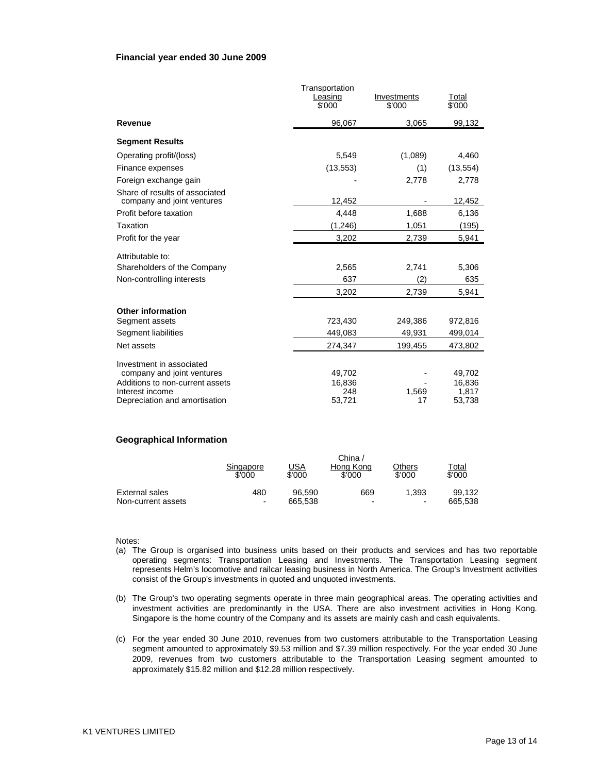#### **Financial year ended 30 June 2009**

|                                 | Transportation |             |                 |
|---------------------------------|----------------|-------------|-----------------|
|                                 | Leasing        | Investments | Total           |
|                                 | \$'000         | \$'000      | $\sqrt[6]{000}$ |
| Revenue                         | 96,067         | 3,065       | 99,132          |
| <b>Segment Results</b>          |                |             |                 |
| Operating profit/(loss)         | 5,549          | (1,089)     | 4,460           |
| Finance expenses                | (13, 553)      | (1)         | (13, 554)       |
| Foreign exchange gain           |                | 2,778       | 2,778           |
| Share of results of associated  |                |             |                 |
| company and joint ventures      | 12,452         |             | 12,452          |
| Profit before taxation          | 4,448          | 1,688       | 6,136           |
| Taxation                        | (1,246)        | 1,051       | (195)           |
| Profit for the year             | 3,202          | 2,739       | 5,941           |
| Attributable to:                |                |             |                 |
| Shareholders of the Company     | 2,565          | 2,741       | 5,306           |
| Non-controlling interests       | 637            | (2)         | 635             |
|                                 | 3,202          | 2,739       | 5,941           |
| <b>Other information</b>        |                |             |                 |
| Segment assets                  | 723,430        | 249,386     | 972,816         |
| Segment liabilities             | 449,083        | 49,931      | 499,014         |
| Net assets                      | 274,347        | 199,455     | 473,802         |
| Investment in associated        |                |             |                 |
| company and joint ventures      | 49,702         |             | 49,702          |
| Additions to non-current assets | 16,836         |             | 16,836          |
| Interest income                 | 248            | 1.569       | 1,817           |
| Depreciation and amortisation   | 53,721         | 17          | 53,738          |

#### **Geographical Information**

|                    | Singapore<br>\$'000 | USA<br>\$'000 | ∪nına <i>ı</i><br>Hona Kona<br>\$'000 | Others<br>\$'000         | Total<br>\$'000 |
|--------------------|---------------------|---------------|---------------------------------------|--------------------------|-----------------|
| External sales     | 480                 | 96.590        | 669                                   | 1.393                    | 99.132          |
| Non-current assets | $\blacksquare$      | 665.538       | -                                     | $\overline{\phantom{0}}$ | 665.538         |

Notes:

(a) The Group is organised into business units based on their products and services and has two reportable operating segments: Transportation Leasing and Investments. The Transportation Leasing segment represents Helm's locomotive and railcar leasing business in North America. The Group's Investment activities consist of the Group's investments in quoted and unquoted investments.

 $\sim$   $\sim$   $\sim$ 

- (b) The Group's two operating segments operate in three main geographical areas. The operating activities and investment activities are predominantly in the USA. There are also investment activities in Hong Kong. Singapore is the home country of the Company and its assets are mainly cash and cash equivalents.
- (c) For the year ended 30 June 2010, revenues from two customers attributable to the Transportation Leasing segment amounted to approximately \$9.53 million and \$7.39 million respectively. For the year ended 30 June 2009, revenues from two customers attributable to the Transportation Leasing segment amounted to approximately \$15.82 million and \$12.28 million respectively.